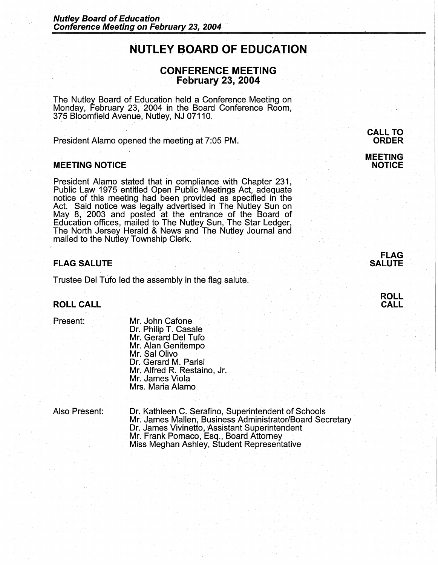# **NUTLEY BOARD OF EDUCATION**

# **CONFERENCE MEETING February 23, 2004**

The Nutley Board of Education held a Conference Meeting on Monday, February 23, 2004 in the Board Conference Room, 375 Bloomfield Avenue, Nutley, NJ 07110.

President Alamo opened the meeting at 7:05 PM.

### **MEETING NOTICE**

President Alamo stated that in compliance with Chapter 231, Public Law 1975 entitled Open Public Meetings Act, adequate notice of this meeting had been provided as specified in the Act. Said notice was legally advertised in The Nutley Sun on May 8, 2003 and posted at the entrance of the Board of Education offices, mailed to The Nutley Sun, The Star Ledger, , The North Jersey Herald & News and The Nutley Journal and mailed to the Nutley Township Clerk.

# **FLAG SALUTE**

Trustee Del Tufo led the assembly in the flag salute.

#### **ROLL CALL**

#### Present:

Mr. John Cafone Dr. Philip T. Casale Mr. Gerard Del Tufo Mr. Alan Genitempo Mr. Sal Olivo Dr. Gerard M. Parisi Mr. Alfred R. Restaino, Jr. Mr. James Viola Mrs. Maria Alamo

Also Present: Dr. Kathleen C. Serafino, Superintendent of Schools Mr. James Mallen, Business Administrator/Board Secretary Dr. James Vivinetto, Assistant Superintendent Mr. Frank Pomaco, Esq., Board Attorney Miss Meghan Ashley, Student Representative

# **CALL TO ORDER**

**MEETING NOTICE** 

## **FLAG SALUTE**